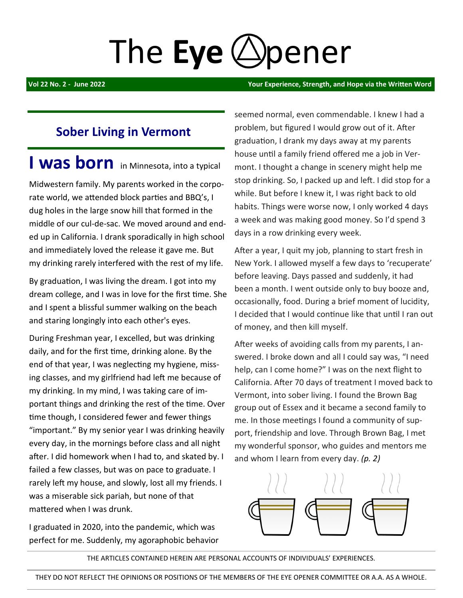# The **Eye** (*S*) pener

**Vol 22 No. 2 - June 2022 Your Experience, Strength, and Hope via the Written Word** 

## **Sober Living in Vermont**

**I was born** in Minnesota, into a typical

Midwestern family. My parents worked in the corporate world, we attended block parties and BBQ's, I dug holes in the large snow hill that formed in the middle of our cul-de-sac. We moved around and ended up in California. I drank sporadically in high school and immediately loved the release it gave me. But my drinking rarely interfered with the rest of my life.

By graduation, I was living the dream. I got into my dream college, and I was in love for the first time. She and I spent a blissful summer walking on the beach and staring longingly into each other's eyes.

During Freshman year, I excelled, but was drinking daily, and for the first time, drinking alone. By the end of that year, I was neglecting my hygiene, missing classes, and my girlfriend had left me because of my drinking. In my mind, I was taking care of important things and drinking the rest of the time. Over time though, I considered fewer and fewer things "important." By my senior year I was drinking heavily every day, in the mornings before class and all night after. I did homework when I had to, and skated by. I failed a few classes, but was on pace to graduate. I rarely left my house, and slowly, lost all my friends. I was a miserable sick pariah, but none of that mattered when I was drunk.

I graduated in 2020, into the pandemic, which was perfect for me. Suddenly, my agoraphobic behavior seemed normal, even commendable. I knew I had a problem, but figured I would grow out of it. After graduation, I drank my days away at my parents house until a family friend offered me a job in Vermont. I thought a change in scenery might help me stop drinking. So, I packed up and left. I did stop for a while. But before I knew it, I was right back to old habits. Things were worse now, I only worked 4 days a week and was making good money. So I'd spend 3 days in a row drinking every week.

After a year, I quit my job, planning to start fresh in New York. I allowed myself a few days to 'recuperate' before leaving. Days passed and suddenly, it had been a month. I went outside only to buy booze and, occasionally, food. During a brief moment of lucidity, I decided that I would continue like that until I ran out of money, and then kill myself.

After weeks of avoiding calls from my parents, I answered. I broke down and all I could say was, "I need help, can I come home?" I was on the next flight to California. After 70 days of treatment I moved back to Vermont, into sober living. I found the Brown Bag group out of Essex and it became a second family to me. In those meetings I found a community of support, friendship and love. Through Brown Bag, I met my wonderful sponsor, who guides and mentors me and whom I learn from every day. *(p. 2)*



THE ARTICLES CONTAINED HEREIN ARE PERSONAL ACCOUNTS OF INDIVIDUALS' EXPERIENCES.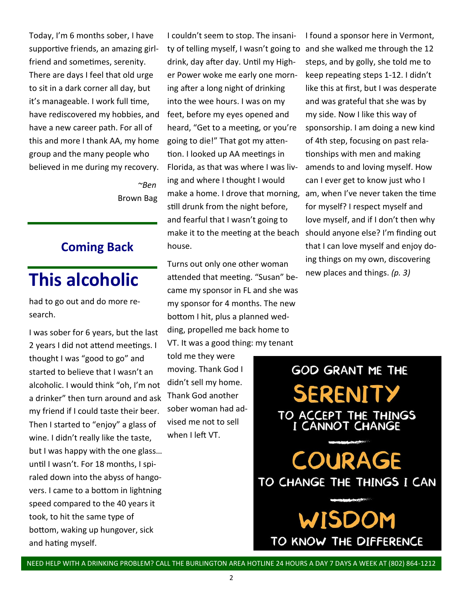Today, I'm 6 months sober, I have supportive friends, an amazing girlfriend and sometimes, serenity. There are days I feel that old urge to sit in a dark corner all day, but it's manageable. I work full time, have rediscovered my hobbies, and have a new career path. For all of this and more I thank AA, my home group and the many people who believed in me during my recovery.

 *~Ben*  **Brown Bag** 

#### **Coming Back**

# **This alcoholic**

had to go out and do more research.

I was sober for 6 years, but the last 2 years I did not attend meetings. I thought I was "good to go" and started to believe that I wasn't an alcoholic. I would think "oh, I'm not a drinker" then turn around and ask my friend if I could taste their beer. Then I started to "enjoy" a glass of wine. I didn't really like the taste, but I was happy with the one glass… until I wasn't. For 18 months, I spiraled down into the abyss of hangovers. I came to a bottom in lightning speed compared to the 40 years it took, to hit the same type of bottom, waking up hungover, sick and hating myself.

I couldn't seem to stop. The insanity of telling myself, I wasn't going to and she walked me through the 12 drink, day after day. Until my Higher Power woke me early one morning after a long night of drinking into the wee hours. I was on my feet, before my eyes opened and heard, "Get to a meeting, or you're going to die!" That got my attention. I looked up AA meetings in Florida, as that was where I was living and where I thought I would make a home. I drove that morning, am, when I've never taken the time still drunk from the night before, and fearful that I wasn't going to make it to the meeting at the beach should anyone else? I'm finding out house.

Turns out only one other woman attended that meeting. "Susan" became my sponsor in FL and she was my sponsor for 4 months. The new bottom I hit, plus a planned wedding, propelled me back home to VT. It was a good thing: my tenant

told me they were moving. Thank God I didn't sell my home. Thank God another sober woman had advised me not to sell when I left VT.

I found a sponsor here in Vermont, steps, and by golly, she told me to keep repeating steps 1-12. I didn't like this at first, but I was desperate and was grateful that she was by my side. Now I like this way of sponsorship. I am doing a new kind of 4th step, focusing on past relationships with men and making amends to and loving myself. How can I ever get to know just who I for myself? I respect myself and love myself, and if I don't then why that I can love myself and enjoy doing things on my own, discovering new places and things. *(p. 3)*

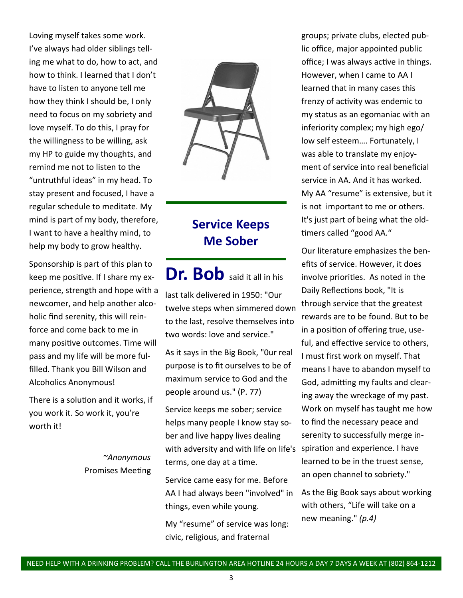Loving myself takes some work. I've always had older siblings telling me what to do, how to act, and how to think. I learned that I don't have to listen to anyone tell me how they think I should be, I only need to focus on my sobriety and love myself. To do this, I pray for the willingness to be willing, ask my HP to guide my thoughts, and remind me not to listen to the "untruthful ideas" in my head. To stay present and focused, I have a regular schedule to meditate. My mind is part of my body, therefore, I want to have a healthy mind, to help my body to grow healthy.

Sponsorship is part of this plan to keep me positive. If I share my experience, strength and hope with a newcomer, and help another alcoholic find serenity, this will reinforce and come back to me in many positive outcomes. Time will pass and my life will be more fulfilled. Thank you Bill Wilson and Alcoholics Anonymous!

There is a solution and it works, if you work it. So work it, you're worth it!

> *~Anonymous* Promises Meeting



## **Service Keeps Me Sober**

Dr. Bob said it all in his last talk delivered in 1950: "Our twelve steps when simmered down to the last, resolve themselves into two words: love and service."

As it says in the Big Book, "0ur real purpose is to fit ourselves to be of maximum service to God and the people around us." (P. 77)

Service keeps me sober; service helps many people I know stay sober and live happy lives dealing with adversity and with life on life's spiration and experience. I have terms, one day at a time.

Service came easy for me. Before AA I had always been "involved" in things, even while young.

My "resume" of service was long: civic, religious, and fraternal

groups; private clubs, elected public office, major appointed public office; I was always active in things. However, when I came to AA I learned that in many cases this frenzy of activity was endemic to my status as an egomaniac with an inferiority complex; my high ego/ low self esteem…. Fortunately, I was able to translate my enjoyment of service into real beneficial service in AA. And it has worked. My AA "resume" is extensive, but it is not important to me or others. It's just part of being what the oldtimers called "good AA."

Our literature emphasizes the benefits of service. However, it does involve priorities. As noted in the Daily Reflections book, "It is through service that the greatest rewards are to be found. But to be in a position of offering true, useful, and effective service to others, I must first work on myself. That means I have to abandon myself to God, admitting my faults and clearing away the wreckage of my past. Work on myself has taught me how to find the necessary peace and serenity to successfully merge inlearned to be in the truest sense, an open channel to sobriety."

As the Big Book says about working with others, "Life will take on a new meaning." *(p.4)*